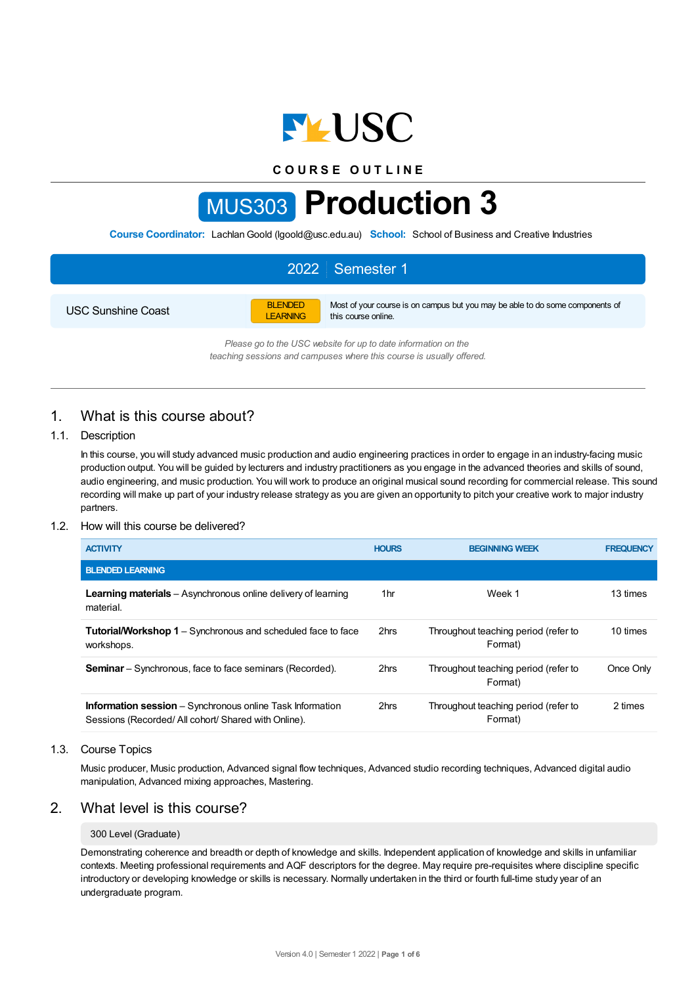

**C O U R S E O U T L I N E**

# MUS303 **Production 3**

**Course Coordinator:** LachlanGoold (lgoold@usc.edu.au) **School:** School of Business and Creative Industries

## 2022 Semester 1 USC Sunshine Coast BLENDED LEARNING Most of your course is on campus but you may be able to do some components of this course online.

*Please go to the USC website for up to date information on the teaching sessions and campuses where this course is usually offered.*

# 1. What is this course about?

## 1.1. Description

In this course, you will study advanced music production and audio engineering practices in order to engage in an industry-facing music production output. You will be guided by lecturers and industry practitioners as you engage in the advanced theories and skills of sound, audio engineering, and music production. You will work to produce an original musical sound recording for commercial release. This sound recording will make up part of your industry release strategy as you are given an opportunity to pitch your creative work to major industry partners.

## 1.2. How will this course be delivered?

| <b>ACTIVITY</b>                                                                                                        | <b>HOURS</b>    | <b>BEGINNING WEEK</b>                           | <b>FREQUENCY</b> |
|------------------------------------------------------------------------------------------------------------------------|-----------------|-------------------------------------------------|------------------|
| <b>BLENDED LEARNING</b>                                                                                                |                 |                                                 |                  |
| <b>Learning materials</b> – Asynchronous online delivery of learning<br>material.                                      | 1 <sub>hr</sub> | Week 1                                          | 13 times         |
| <b>Tutorial/Workshop 1</b> – Synchronous and scheduled face to face<br>workshops.                                      | 2hrs            | Throughout teaching period (refer to<br>Format) | 10 times         |
| <b>Seminar</b> – Synchronous, face to face seminars (Recorded).                                                        | 2hrs            | Throughout teaching period (refer to<br>Format) | Once Only        |
| <b>Information session</b> – Synchronous online Task Information<br>Sessions (Recorded/All cohort/Shared with Online). | 2hrs            | Throughout teaching period (refer to<br>Format) | 2 times          |

#### 1.3. Course Topics

Music producer, Music production, Advanced signal flow techniques, Advanced studio recording techniques, Advanced digital audio manipulation, Advanced mixing approaches, Mastering.

# 2. What level is this course?

#### 300 Level (Graduate)

Demonstrating coherence and breadth or depth of knowledge and skills. Independent application of knowledge and skills in unfamiliar contexts. Meeting professional requirements and AQF descriptors for the degree. May require pre-requisites where discipline specific introductory or developing knowledge or skills is necessary. Normally undertaken in the third or fourth full-time study year of an undergraduate program.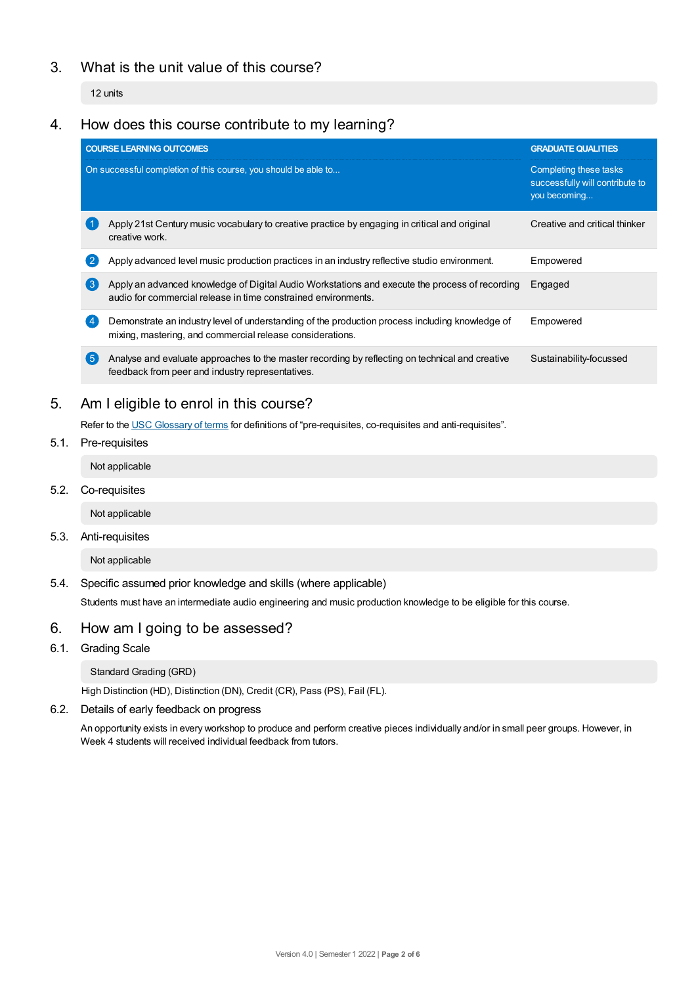# 3. What is the unit value of this course?

12 units

# 4. How does this course contribute to my learning?

|     | <b>COURSE LEARNING OUTCOMES</b>                                                                                                                                  | <b>GRADUATE QUALITIES</b>                                                 |
|-----|------------------------------------------------------------------------------------------------------------------------------------------------------------------|---------------------------------------------------------------------------|
|     | On successful completion of this course, you should be able to                                                                                                   | Completing these tasks<br>successfully will contribute to<br>you becoming |
|     | Apply 21st Century music vocabulary to creative practice by engaging in critical and original<br>creative work.                                                  | Creative and critical thinker                                             |
|     | Apply advanced level music production practices in an industry reflective studio environment.                                                                    | Empowered                                                                 |
| 【3】 | Apply an advanced knowledge of Digital Audio Workstations and execute the process of recording<br>audio for commercial release in time constrained environments. | Engaged                                                                   |
|     | Demonstrate an industry level of understanding of the production process including knowledge of<br>mixing, mastering, and commercial release considerations.     | Empowered                                                                 |
| (5  | Analyse and evaluate approaches to the master recording by reflecting on technical and creative<br>feedback from peer and industry representatives.              | Sustainability-focussed                                                   |
|     |                                                                                                                                                                  |                                                                           |

# 5. Am Ieligible to enrol in this course?

Refer to the USC [Glossary](https://www.usc.edu.au/about/policies-and-procedures/glossary-of-terms-for-policy-and-procedures) of terms for definitions of "pre-requisites, co-requisites and anti-requisites".

5.1. Pre-requisites

Not applicable

5.2. Co-requisites

Not applicable

5.3. Anti-requisites

Not applicable

5.4. Specific assumed prior knowledge and skills (where applicable)

Students must have an intermediate audio engineering and music production knowledge to be eligible for this course.

# 6. How am Igoing to be assessed?

6.1. Grading Scale

Standard Grading (GRD)

High Distinction (HD), Distinction (DN), Credit (CR), Pass (PS), Fail (FL).

## 6.2. Details of early feedback on progress

An opportunity exists in every workshop to produce and perform creative pieces individually and/or in small peer groups. However, in Week 4 students will received individual feedback from tutors.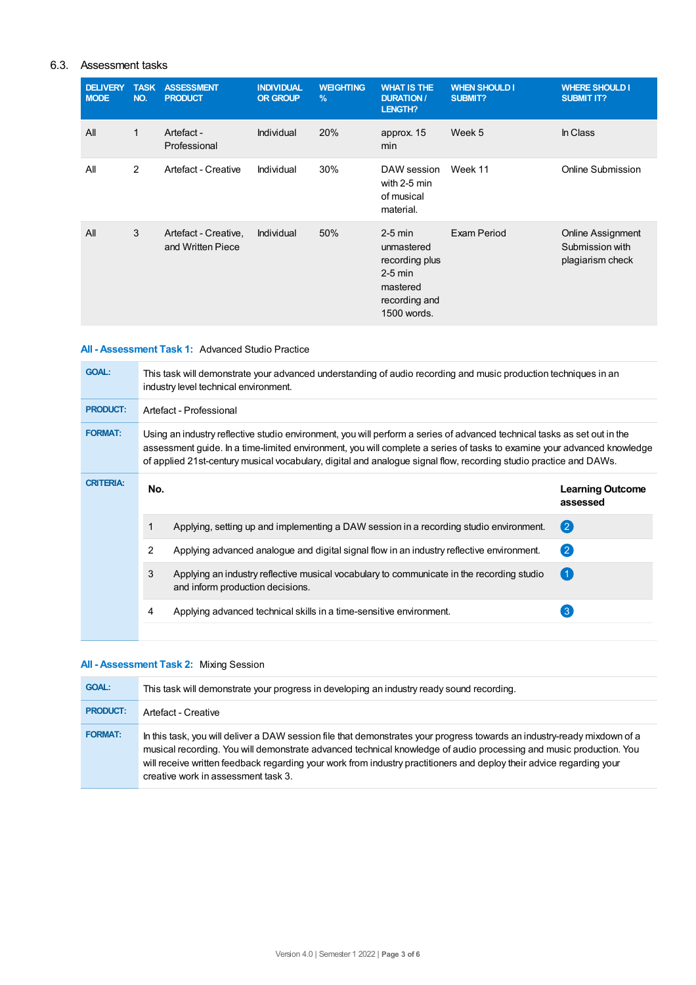## 6.3. Assessment tasks

| <b>DELIVERY</b><br><b>MODE</b> | <b>TASK</b><br>NO. | <b>ASSESSMENT</b><br><b>PRODUCT</b>       | <b>INDIVIDUAL</b><br><b>OR GROUP</b> | <b>WEIGHTING</b><br>$\frac{9}{6}$ | <b>WHAT IS THE</b><br><b>DURATION /</b><br>LENGTH?                                                 | <b>WHEN SHOULD I</b><br>SUBMIT? | <b>WHERE SHOULD I</b><br><b>SUBMIT IT?</b>               |
|--------------------------------|--------------------|-------------------------------------------|--------------------------------------|-----------------------------------|----------------------------------------------------------------------------------------------------|---------------------------------|----------------------------------------------------------|
| All                            | 1                  | Artefact -<br>Professional                | Individual                           | 20%                               | approx. 15<br>min                                                                                  | Week 5                          | In Class                                                 |
| All                            | 2                  | Artefact - Creative                       | Individual                           | 30%                               | DAW session<br>with 2-5 min<br>of musical<br>material.                                             | Week 11                         | Online Submission                                        |
| All                            | 3                  | Artefact - Creative,<br>and Written Piece | Individual                           | 50%                               | $2-5$ min<br>unmastered<br>recording plus<br>$2-5$ min<br>mastered<br>recording and<br>1500 words. | Exam Period                     | Online Assignment<br>Submission with<br>plagiarism check |

## **All - Assessment Task 1:** Advanced Studio Practice

| <b>GOAL:</b>     | This task will demonstrate your advanced understanding of audio recording and music production techniques in an<br>industry level technical environment.                                                                                                                                                                                                                 |                                                                                                                               |                                     |
|------------------|--------------------------------------------------------------------------------------------------------------------------------------------------------------------------------------------------------------------------------------------------------------------------------------------------------------------------------------------------------------------------|-------------------------------------------------------------------------------------------------------------------------------|-------------------------------------|
| <b>PRODUCT:</b>  | Artefact - Professional                                                                                                                                                                                                                                                                                                                                                  |                                                                                                                               |                                     |
| <b>FORMAT:</b>   | Using an industry reflective studio environment, you will perform a series of advanced technical tasks as set out in the<br>assessment guide. In a time-limited environment, you will complete a series of tasks to examine your advanced knowledge<br>of applied 21st-century musical vocabulary, digital and analogue signal flow, recording studio practice and DAWs. |                                                                                                                               |                                     |
| <b>CRITERIA:</b> | No.                                                                                                                                                                                                                                                                                                                                                                      |                                                                                                                               | <b>Learning Outcome</b><br>assessed |
|                  |                                                                                                                                                                                                                                                                                                                                                                          | Applying, setting up and implementing a DAW session in a recording studio environment.                                        | $\mathbf{Q}$                        |
|                  | 2                                                                                                                                                                                                                                                                                                                                                                        | Applying advanced analogue and digital signal flow in an industry reflective environment.                                     | $\left( 2\right)$                   |
|                  | 3                                                                                                                                                                                                                                                                                                                                                                        | Applying an industry reflective musical vocabulary to communicate in the recording studio<br>and inform production decisions. | $^{\circ}$ 1                        |
|                  | 4                                                                                                                                                                                                                                                                                                                                                                        | Applying advanced technical skills in a time-sensitive environment.                                                           | 3                                   |

## **All - Assessment Task 2:** Mixing Session

| <b>GOAL:</b>    | This task will demonstrate your progress in developing an industry ready sound recording.                                                                                                                                                                                                                                                                                                                     |
|-----------------|---------------------------------------------------------------------------------------------------------------------------------------------------------------------------------------------------------------------------------------------------------------------------------------------------------------------------------------------------------------------------------------------------------------|
| <b>PRODUCT:</b> | Artefact - Creative                                                                                                                                                                                                                                                                                                                                                                                           |
| <b>FORMAT:</b>  | In this task, you will deliver a DAW session file that demonstrates your progress towards an industry-ready mixdown of a<br>musical recording. You will demonstrate advanced technical knowledge of audio processing and music production. You<br>will receive written feedback regarding your work from industry practitioners and deploy their advice regarding your<br>creative work in assessment task 3. |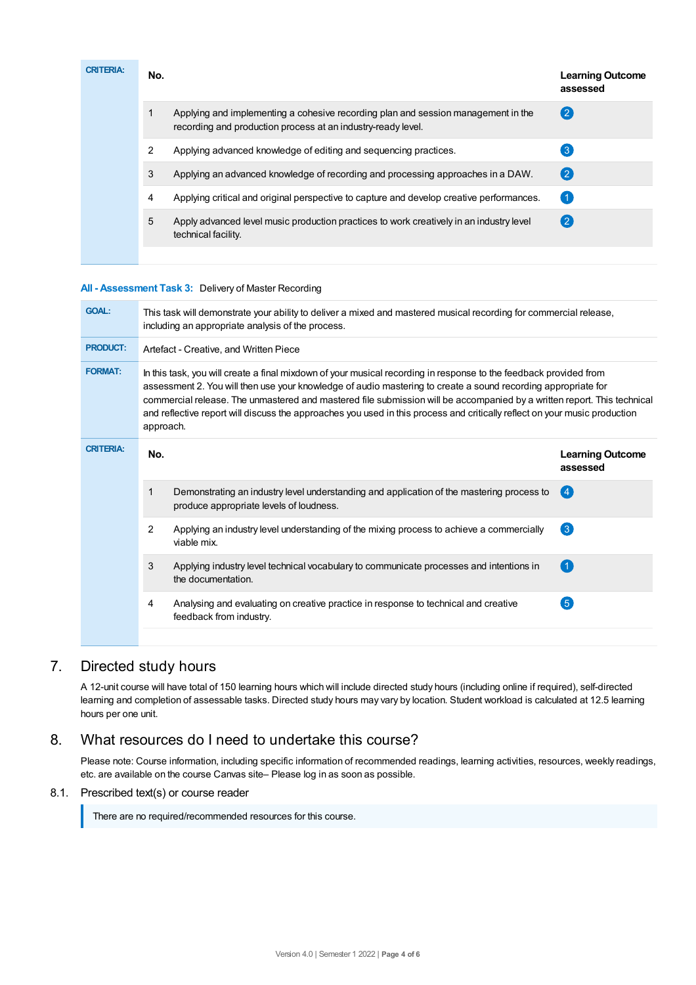| <b>CRITERIA:</b> | No. |                                                                                                                                                   | <b>Learning Outcome</b><br>assessed |
|------------------|-----|---------------------------------------------------------------------------------------------------------------------------------------------------|-------------------------------------|
|                  | 1   | Applying and implementing a cohesive recording plan and session management in the<br>recording and production process at an industry-ready level. | (2                                  |
|                  | 2   | Applying advanced knowledge of editing and sequencing practices.                                                                                  | $\lceil 3 \rceil$                   |
|                  | 3   | Applying an advanced knowledge of recording and processing approaches in a DAW.                                                                   | $\left( 2 \right)$                  |
|                  | 4   | Applying critical and original perspective to capture and develop creative performances.                                                          | $\vert$ 1                           |
|                  | 5   | Apply advanced level music production practices to work creatively in an industry level<br>technical facility.                                    | $\left( 2 \right)$                  |

### **All - Assessment Task 3:** Delivery of Master Recording

| This task will demonstrate your ability to deliver a mixed and mastered musical recording for commercial release,<br>including an appropriate analysis of the process.                                                                                                                                                                                                                                                                                                                                   |                                     |  |  |  |
|----------------------------------------------------------------------------------------------------------------------------------------------------------------------------------------------------------------------------------------------------------------------------------------------------------------------------------------------------------------------------------------------------------------------------------------------------------------------------------------------------------|-------------------------------------|--|--|--|
| Artefact - Creative, and Written Piece                                                                                                                                                                                                                                                                                                                                                                                                                                                                   |                                     |  |  |  |
| In this task, you will create a final mixdown of your musical recording in response to the feedback provided from<br>assessment 2. You will then use your knowledge of audio mastering to create a sound recording appropriate for<br>commercial release. The unmastered and mastered file submission will be accompanied by a written report. This technical<br>and reflective report will discuss the approaches you used in this process and critically reflect on your music production<br>approach. |                                     |  |  |  |
| No.                                                                                                                                                                                                                                                                                                                                                                                                                                                                                                      | <b>Learning Outcome</b><br>assessed |  |  |  |
| 1<br>Demonstrating an industry level understanding and application of the mastering process to<br>produce appropriate levels of loudness.                                                                                                                                                                                                                                                                                                                                                                | $\overline{4}$                      |  |  |  |
| $\overline{2}$<br>Applying an industry level understanding of the mixing process to achieve a commercially<br>viable mix.                                                                                                                                                                                                                                                                                                                                                                                | 3                                   |  |  |  |
| 3<br>Applying industry level technical vocabulary to communicate processes and intentions in<br>the documentation.                                                                                                                                                                                                                                                                                                                                                                                       | $\mathbf{1}$                        |  |  |  |
| Analysing and evaluating on creative practice in response to technical and creative<br>4<br>feedback from industry.                                                                                                                                                                                                                                                                                                                                                                                      | 5                                   |  |  |  |
|                                                                                                                                                                                                                                                                                                                                                                                                                                                                                                          |                                     |  |  |  |

# 7. Directed study hours

A 12-unit course will have total of 150 learning hours which will include directed study hours (including online if required), self-directed learning and completion of assessable tasks. Directed study hours may vary by location. Student workload is calculated at 12.5 learning hours per one unit.

# 8. What resources do I need to undertake this course?

Please note: Course information, including specific information of recommended readings, learning activities, resources, weekly readings, etc. are available on the course Canvas site– Please log in as soon as possible.

## 8.1. Prescribed text(s) or course reader

There are no required/recommended resources for this course.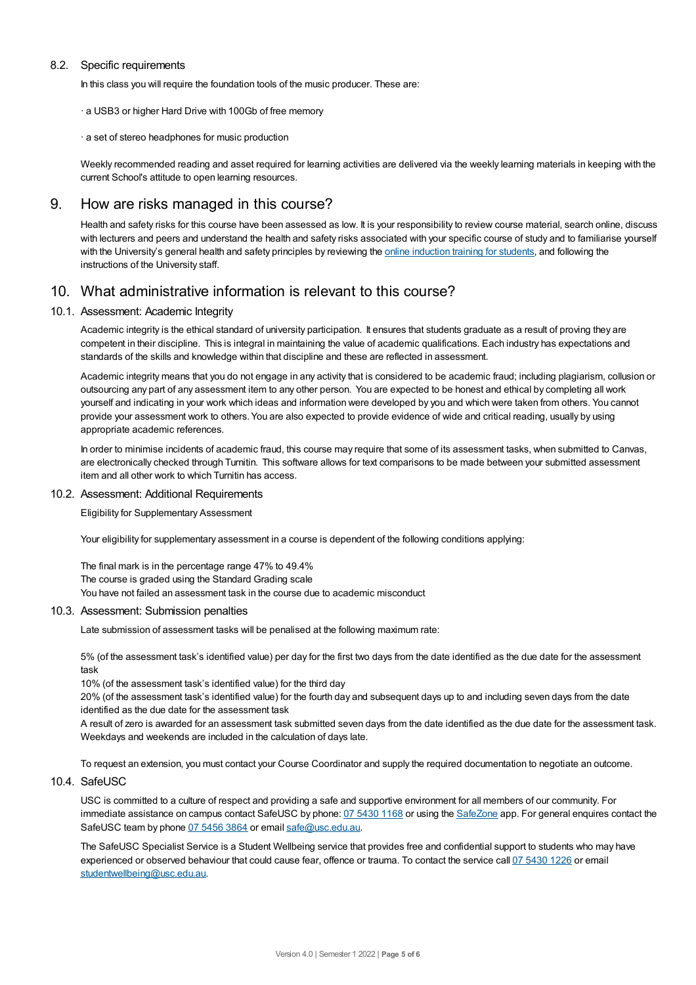### 8.2. Specific requirements

In this class you will require the foundation tools of the music producer. These are:

- · a USB3 or higher Hard Drive with 100Gb of free memory
- · a set of stereo headphones for music production

Weekly recommended reading and asset required for learning activities are delivered via the weekly learning materials in keeping with the current School's attitude to open learning resources.

## 9. How are risks managed in this course?

Health and safety risks for this course have been assessed as low. It is your responsibility to review course material, search online, discuss with lecturers and peers and understand the health and safety risks associated with your specific course of study and to familiarise yourself with the University's general health and safety principles by reviewing the online [induction](https://online.usc.edu.au/webapps/blackboard/content/listContentEditable.jsp?content_id=_632657_1&course_id=_14432_1) training for students, and following the instructions of the University staff.

# 10. What administrative information is relevant to this course?

#### 10.1. Assessment: Academic Integrity

Academic integrity is the ethical standard of university participation. It ensures that students graduate as a result of proving they are competent in their discipline. This is integral in maintaining the value of academic qualifications. Each industry has expectations and standards of the skills and knowledge within that discipline and these are reflected in assessment.

Academic integrity means that you do not engage in any activity that is considered to be academic fraud; including plagiarism, collusion or outsourcing any part of any assessment item to any other person. You are expected to be honest and ethical by completing all work yourself and indicating in your work which ideas and information were developed by you and which were taken from others. You cannot provide your assessment work to others. You are also expected to provide evidence of wide and critical reading, usually by using appropriate academic references.

In order to minimise incidents of academic fraud, this course may require that some of its assessment tasks, when submitted to Canvas, are electronically checked through Turnitin. This software allows for text comparisons to be made between your submitted assessment item and all other work to which Turnitin has access.

#### 10.2. Assessment: Additional Requirements

Eligibility for Supplementary Assessment

Your eligibility for supplementary assessment in a course is dependent of the following conditions applying:

The final mark is in the percentage range 47% to 49.4% The course is graded using the Standard Grading scale You have not failed an assessment task in the course due to academic misconduct

#### 10.3. Assessment: Submission penalties

Late submission of assessment tasks will be penalised at the following maximum rate:

5% (of the assessment task's identified value) per day for the first two days from the date identified as the due date for the assessment task

10% (of the assessment task's identified value) for the third day

20% (of the assessment task's identified value) for the fourth day and subsequent days up to and including seven days from the date identified as the due date for the assessment task

A result of zero is awarded for an assessment task submitted seven days from the date identified as the due date for the assessment task. Weekdays and weekends are included in the calculation of days late.

To request an extension, you must contact your Course Coordinator and supply the required documentation to negotiate an outcome.

## 10.4. SafeUSC

USC is committed to a culture of respect and providing a safe and supportive environment for all members of our community. For immediate assistance on campus contact SafeUSC by phone: 07 [5430](tel:07%205430%201168) 1168 or using the [SafeZone](https://www.safezoneapp.com) app. For general enquires contact the SafeUSC team by phone 07 [5456](tel:07%205456%203864) 3864 or email [safe@usc.edu.au](mailto:safe@usc.edu.au).

The SafeUSC Specialist Service is a Student Wellbeing service that provides free and confidential support to students who may have experienced or observed behaviour that could cause fear, offence or trauma. To contact the service call 07 [5430](tel:07%205430%201226) 1226 or email [studentwellbeing@usc.edu.au](mailto:studentwellbeing@usc.edu.au).